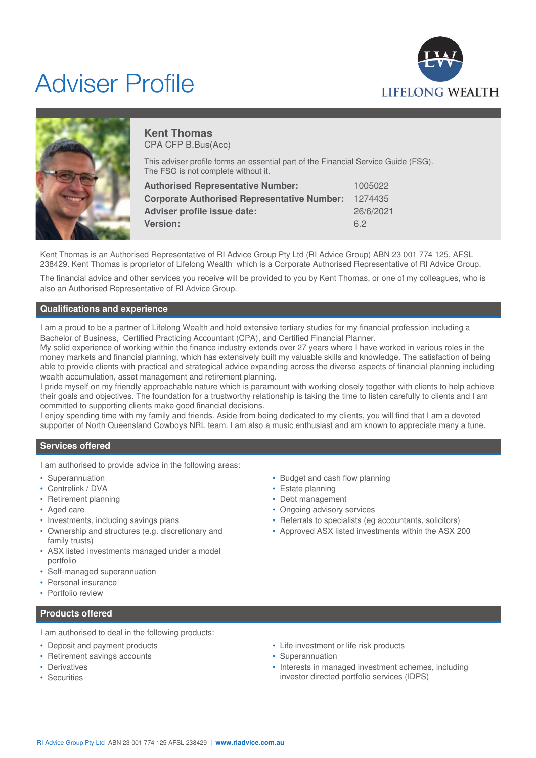# Adviser Profile





## **Kent Thomas** CPA CFP B.Bus(Acc)

This adviser profile forms an essential part of the Financial Service Guide (FSG). The FSG is not complete without it.

| 1005022   |
|-----------|
| 1274435   |
| 26/6/2021 |
| 62        |
|           |

Kent Thomas is an Authorised Representative of RI Advice Group Pty Ltd (RI Advice Group) ABN 23 001 774 125, AFSL 238429. Kent Thomas is proprietor of Lifelong Wealth which is a Corporate Authorised Representative of RI Advice Group.

The financial advice and other services you receive will be provided to you by Kent Thomas, or one of my colleagues, who is also an Authorised Representative of RI Advice Group.

## **Qualifications and experience**

I am a proud to be a partner of Lifelong Wealth and hold extensive tertiary studies for my financial profession including a Bachelor of Business, Certified Practicing Accountant (CPA), and Certified Financial Planner.

My solid experience of working within the finance industry extends over 27 years where I have worked in various roles in the money markets and financial planning, which has extensively built my valuable skills and knowledge. The satisfaction of being able to provide clients with practical and strategical advice expanding across the diverse aspects of financial planning including wealth accumulation, asset management and retirement planning.

I pride myself on my friendly approachable nature which is paramount with working closely together with clients to help achieve their goals and objectives. The foundation for a trustworthy relationship is taking the time to listen carefully to clients and I am committed to supporting clients make good financial decisions.

I enjoy spending time with my family and friends. Aside from being dedicated to my clients, you will find that I am a devoted supporter of North Queensland Cowboys NRL team. I am also a music enthusiast and am known to appreciate many a tune.

## **Services offered**

I am authorised to provide advice in the following areas:

- Superannuation
- Centrelink / DVA
- Retirement planning
- Aged care
- Investments, including savings plans
- Ownership and structures (e.g. discretionary and family trusts)
- ASX listed investments managed under a model portfolio
- Self-managed superannuation
- Personal insurance
- Portfolio review

## **Products offered**

I am authorised to deal in the following products:

- Deposit and payment products
- Retirement savings accounts
- Derivatives
- Securities
- Budget and cash flow planning
- Estate planning
- Debt management
- Ongoing advisory services
- Referrals to specialists (eg accountants, solicitors)
- Approved ASX listed investments within the ASX 200

- Life investment or life risk products
- Superannuation
- Interests in managed investment schemes, including investor directed portfolio services (IDPS)